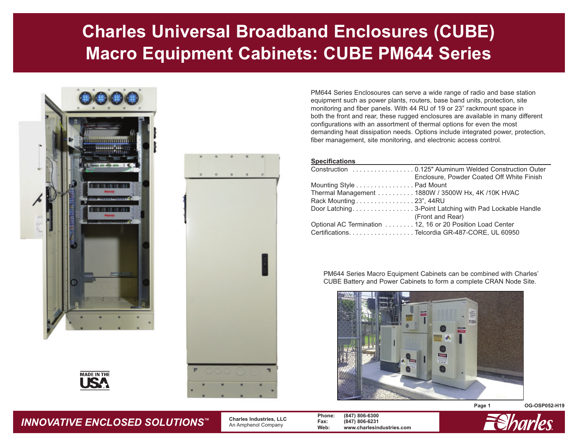# **Charles Universal Broadband Enclosures (CUBE) Macro Equipment Cabinets: CUBE PM644 Series**







PM644 Series Enclosoures can serve a wide range of radio and base station equipment such as power plants, routers, base band units, protection, site monitoring and fiber panels. With 44 RU of 19 or 23" rackmount space in both the front and rear, these rugged enclosures are available in many different configurations with an assortment of thermal options for even the most demanding heat dissipation needs. Options include integrated power, protection, fiber management, site monitoring, and electronic access control.

#### **Specifications**

|                                                           | Construction 0.125" Aluminum Welded Construction Outer |
|-----------------------------------------------------------|--------------------------------------------------------|
|                                                           | Enclosure, Powder Coated Off White Finish              |
| Mounting Style Pad Mount                                  |                                                        |
|                                                           | Thermal Management 1880W / 3500W Hx, 4K / 10K HVAC     |
| Rack Mounting 23", 44RU                                   |                                                        |
|                                                           |                                                        |
|                                                           | (Front and Rear)                                       |
| Optional AC Termination 12, 16 or 20 Position Load Center |                                                        |
|                                                           | Certifications. Telcordia GR-487-CORE, UL 60950        |

PM644 Series Macro Equipment Cabinets can be combined with Charles' CUBE Battery and Power Cabinets to form a complete CRAN Node Site.





**Page 1 OG-OSP052-H19**



 **Charles Industries, LLC** An Amphenol Company

**Phone: (847) 806-6300 Fax: (847) 806-6231 Web: www.charlesindustries.com**